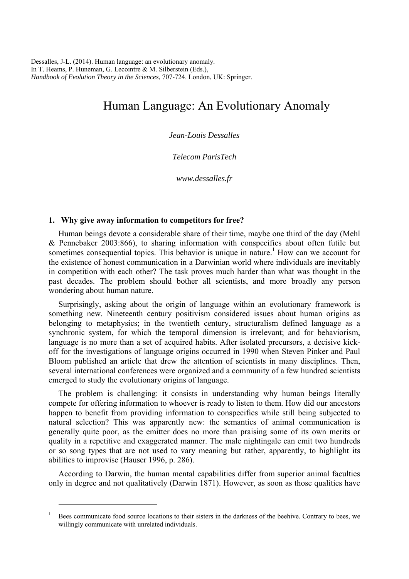Dessalles, J-L. (2014). Human language: an evolutionary anomaly. In T. Heams, P. Huneman, G. Lecointre & M. Silberstein (Eds.), *Handbook of Evolution Theory in the Sciences*, 707-724. London, UK: Springer.

# Human Language: An Evolutionary Anomaly

*Jean-Louis Dessalles* 

*Telecom ParisTech* 

*www.dessalles.fr* 

#### **1. Why give away information to competitors for free?**

1

Human beings devote a considerable share of their time, maybe one third of the day (Mehl & Pennebaker 2003:866), to sharing information with conspecifics about often futile but sometimes consequential topics. This behavior is unique in nature.<sup>1</sup> How can we account for the existence of honest communication in a Darwinian world where individuals are inevitably in competition with each other? The task proves much harder than what was thought in the past decades. The problem should bother all scientists, and more broadly any person wondering about human nature.

Surprisingly, asking about the origin of language within an evolutionary framework is something new. Nineteenth century positivism considered issues about human origins as belonging to metaphysics; in the twentieth century, structuralism defined language as a synchronic system, for which the temporal dimension is irrelevant; and for behaviorism, language is no more than a set of acquired habits. After isolated precursors, a decisive kickoff for the investigations of language origins occurred in 1990 when Steven Pinker and Paul Bloom published an article that drew the attention of scientists in many disciplines. Then, several international conferences were organized and a community of a few hundred scientists emerged to study the evolutionary origins of language.

The problem is challenging: it consists in understanding why human beings literally compete for offering information to whoever is ready to listen to them. How did our ancestors happen to benefit from providing information to conspecifics while still being subjected to natural selection? This was apparently new: the semantics of animal communication is generally quite poor, as the emitter does no more than praising some of its own merits or quality in a repetitive and exaggerated manner. The male nightingale can emit two hundreds or so song types that are not used to vary meaning but rather, apparently, to highlight its abilities to improvise (Hauser 1996, p. 286).

According to Darwin, the human mental capabilities differ from superior animal faculties only in degree and not qualitatively (Darwin 1871). However, as soon as those qualities have

<sup>1</sup> Bees communicate food source locations to their sisters in the darkness of the beehive. Contrary to bees, we willingly communicate with unrelated individuals.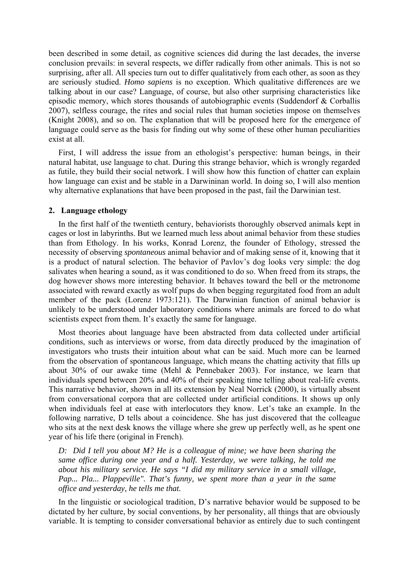been described in some detail, as cognitive sciences did during the last decades, the inverse conclusion prevails: in several respects, we differ radically from other animals. This is not so surprising, after all. All species turn out to differ qualitatively from each other, as soon as they are seriously studied. *Homo sapiens* is no exception. Which qualitative differences are we talking about in our case? Language, of course, but also other surprising characteristics like episodic memory, which stores thousands of autobiographic events (Suddendorf & Corballis 2007), selfless courage, the rites and social rules that human societies impose on themselves (Knight 2008), and so on. The explanation that will be proposed here for the emergence of language could serve as the basis for finding out why some of these other human peculiarities exist at all.

First, I will address the issue from an ethologist's perspective: human beings, in their natural habitat, use language to chat. During this strange behavior, which is wrongly regarded as futile, they build their social network. I will show how this function of chatter can explain how language can exist and be stable in a Darwininan world. In doing so, I will also mention why alternative explanations that have been proposed in the past, fail the Darwinian test.

#### **2. Language ethology**

In the first half of the twentieth century, behaviorists thoroughly observed animals kept in cages or lost in labyrinths. But we learned much less about animal behavior from these studies than from Ethology. In his works, Konrad Lorenz, the founder of Ethology, stressed the necessity of observing *spontaneous* animal behavior and of making sense of it, knowing that it is a product of natural selection. The behavior of Pavlov's dog looks very simple: the dog salivates when hearing a sound, as it was conditioned to do so. When freed from its straps, the dog however shows more interesting behavior. It behaves toward the bell or the metronome associated with reward exactly as wolf pups do when begging regurgitated food from an adult member of the pack (Lorenz 1973:121). The Darwinian function of animal behavior is unlikely to be understood under laboratory conditions where animals are forced to do what scientists expect from them. It's exactly the same for language.

Most theories about language have been abstracted from data collected under artificial conditions, such as interviews or worse, from data directly produced by the imagination of investigators who trusts their intuition about what can be said. Much more can be learned from the observation of spontaneous language, which means the chatting activity that fills up about 30% of our awake time (Mehl & Pennebaker 2003). For instance, we learn that individuals spend between 20% and 40% of their speaking time telling about real-life events. This narrative behavior, shown in all its extension by Neal Norrick (2000), is virtually absent from conversational corpora that are collected under artificial conditions. It shows up only when individuals feel at ease with interlocutors they know. Let's take an example. In the following narrative, D tells about a coincidence. She has just discovered that the colleague who sits at the next desk knows the village where she grew up perfectly well, as he spent one year of his life there (original in French).

*D: Did I tell you about M? He is a colleague of mine; we have been sharing the same office during one year and a half. Yesterday, we were talking, he told me about his military service. He says "I did my military service in a small village, Pap... Pla... Plappeville". That's funny, we spent more than a year in the same office and yesterday, he tells me that.* 

In the linguistic or sociological tradition, D's narrative behavior would be supposed to be dictated by her culture, by social conventions, by her personality, all things that are obviously variable. It is tempting to consider conversational behavior as entirely due to such contingent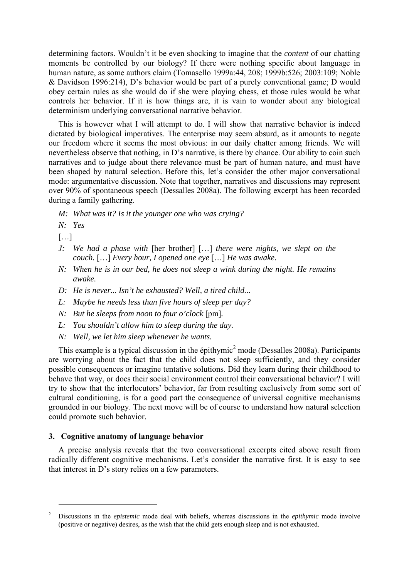determining factors. Wouldn't it be even shocking to imagine that the *content* of our chatting moments be controlled by our biology? If there were nothing specific about language in human nature, as some authors claim (Tomasello 1999a:44, 208; 1999b:526; 2003:109; Noble & Davidson 1996:214), D's behavior would be part of a purely conventional game; D would obey certain rules as she would do if she were playing chess, et those rules would be what controls her behavior. If it is how things are, it is vain to wonder about any biological determinism underlying conversational narrative behavior.

This is however what I will attempt to do. I will show that narrative behavior is indeed dictated by biological imperatives. The enterprise may seem absurd, as it amounts to negate our freedom where it seems the most obvious: in our daily chatter among friends. We will nevertheless observe that nothing, in D's narrative, is there by chance. Our ability to coin such narratives and to judge about there relevance must be part of human nature, and must have been shaped by natural selection. Before this, let's consider the other major conversational mode: argumentative discussion. Note that together, narratives and discussions may represent over 90% of spontaneous speech (Dessalles 2008a). The following excerpt has been recorded during a family gathering.

- *M: What was it? Is it the younger one who was crying?*
- *N: Yes*
- […]

1

- *J: We had a phase with* [her brother] […] *there were nights, we slept on the couch.* […] *Every hour, I opened one eye* […] *He was awake.*
- *N: When he is in our bed, he does not sleep a wink during the night. He remains awake.*
- *D: He is never... Isn't he exhausted? Well, a tired child...*
- *L: Maybe he needs less than five hours of sleep per day?*
- *N: But he sleeps from noon to four o'clock* [pm].
- *L: You shouldn't allow him to sleep during the day.*
- *N: Well, we let him sleep whenever he wants.*

This example is a typical discussion in the épithymic<sup>2</sup> mode (Dessalles 2008a). Participants are worrying about the fact that the child does not sleep sufficiently, and they consider possible consequences or imagine tentative solutions. Did they learn during their childhood to behave that way, or does their social environment control their conversational behavior? I will try to show that the interlocutors' behavior, far from resulting exclusively from some sort of cultural conditioning, is for a good part the consequence of universal cognitive mechanisms grounded in our biology. The next move will be of course to understand how natural selection could promote such behavior.

#### **3. Cognitive anatomy of language behavior**

A precise analysis reveals that the two conversational excerpts cited above result from radically different cognitive mechanisms. Let's consider the narrative first. It is easy to see that interest in D's story relies on a few parameters.

<sup>2</sup> Discussions in the *epistemic* mode deal with beliefs, whereas discussions in the *epithymic* mode involve (positive or negative) desires, as the wish that the child gets enough sleep and is not exhausted.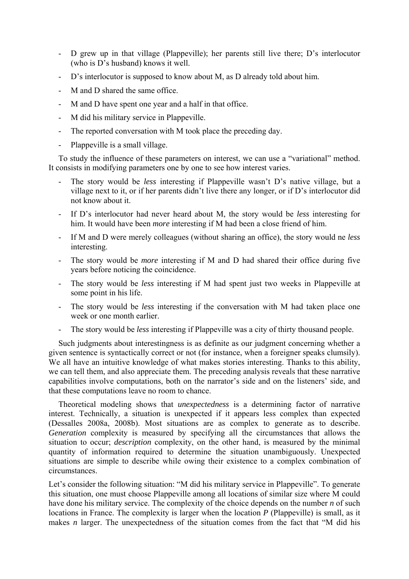- D grew up in that village (Plappeville); her parents still live there; D's interlocutor (who is D's husband) knows it well.
- D's interlocutor is supposed to know about M, as D already told about him.
- M and D shared the same office.
- M and D have spent one year and a half in that office.
- M did his military service in Plappeville.
- The reported conversation with M took place the preceding day.
- Plappeville is a small village.

To study the influence of these parameters on interest, we can use a "variational" method. It consists in modifying parameters one by one to see how interest varies.

- The story would be *less* interesting if Plappeville wasn't D's native village, but a village next to it, or if her parents didn't live there any longer, or if D's interlocutor did not know about it.
- If D's interlocutor had never heard about M, the story would be *less* interesting for him. It would have been *more* interesting if M had been a close friend of him.
- If M and D were merely colleagues (without sharing an office), the story would ne *less* interesting.
- The story would be *more* interesting if M and D had shared their office during five years before noticing the coincidence.
- The story would be *less* interesting if M had spent just two weeks in Plappeville at some point in his life.
- The story would be *less* interesting if the conversation with M had taken place one week or one month earlier.
- The story would be *less* interesting if Plappeville was a city of thirty thousand people.

Such judgments about interestingness is as definite as our judgment concerning whether a given sentence is syntactically correct or not (for instance, when a foreigner speaks clumsily). We all have an intuitive knowledge of what makes stories interesting. Thanks to this ability, we can tell them, and also appreciate them. The preceding analysis reveals that these narrative capabilities involve computations, both on the narrator's side and on the listeners' side, and that these computations leave no room to chance.

Theoretical modeling shows that *unexpectedness* is a determining factor of narrative interest. Technically, a situation is unexpected if it appears less complex than expected (Dessalles 2008a, 2008b). Most situations are as complex to generate as to describe. *Generation* complexity is measured by specifying all the circumstances that allows the situation to occur; *description* complexity, on the other hand, is measured by the minimal quantity of information required to determine the situation unambiguously. Unexpected situations are simple to describe while owing their existence to a complex combination of circumstances.

Let's consider the following situation: "M did his military service in Plappeville". To generate this situation, one must choose Plappeville among all locations of similar size where M could have done his military service. The complexity of the choice depends on the number *n* of such locations in France. The complexity is larger when the location *P* (Plappeville) is small, as it makes *n* larger. The unexpectedness of the situation comes from the fact that "M did his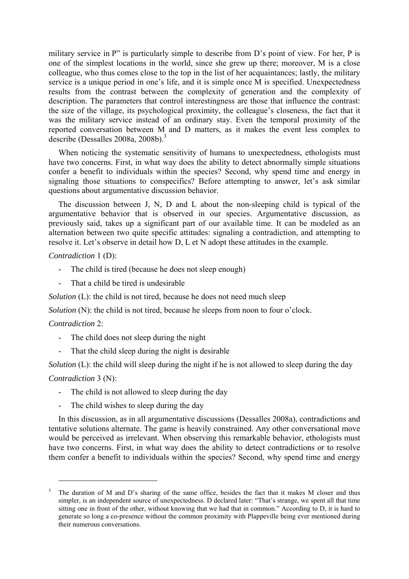military service in P" is particularly simple to describe from D's point of view. For her, P is one of the simplest locations in the world, since she grew up there; moreover, M is a close colleague, who thus comes close to the top in the list of her acquaintances; lastly, the military service is a unique period in one's life, and it is simple once M is specified. Unexpectedness results from the contrast between the complexity of generation and the complexity of description. The parameters that control interestingness are those that influence the contrast: the size of the village, its psychological proximity, the colleague's closeness, the fact that it was the military service instead of an ordinary stay. Even the temporal proximity of the reported conversation between M and D matters, as it makes the event less complex to describe (Dessalles 2008a, 2008b). $3$ 

When noticing the systematic sensitivity of humans to unexpectedness, ethologists must have two concerns. First, in what way does the ability to detect abnormally simple situations confer a benefit to individuals within the species? Second, why spend time and energy in signaling those situations to conspecifics? Before attempting to answer, let's ask similar questions about argumentative discussion behavior.

The discussion between J, N, D and L about the non-sleeping child is typical of the argumentative behavior that is observed in our species. Argumentative discussion, as previously said, takes up a significant part of our available time. It can be modeled as an alternation between two quite specific attitudes: signaling a contradiction, and attempting to resolve it. Let's observe in detail how D, L et N adopt these attitudes in the example.

*Contradiction* 1 (D):

- The child is tired (because he does not sleep enough)
- That a child be tired is undesirable
- *Solution* (L): the child is not tired, because he does not need much sleep

*Solution* (N): the child is not tired, because he sleeps from noon to four o'clock.

### *Contradiction* 2:

- The child does not sleep during the night
- That the child sleep during the night is desirable

*Solution* (L): the child will sleep during the night if he is not allowed to sleep during the day

## *Contradiction* 3 (N):

1

- The child is not allowed to sleep during the day
- The child wishes to sleep during the day

In this discussion, as in all argumentative discussions (Dessalles 2008a), contradictions and tentative solutions alternate. The game is heavily constrained. Any other conversational move would be perceived as irrelevant. When observing this remarkable behavior, ethologists must have two concerns. First, in what way does the ability to detect contradictions or to resolve them confer a benefit to individuals within the species? Second, why spend time and energy

<sup>3</sup> The duration of M and D's sharing of the same office, besides the fact that it makes M closer and thus simpler, is an independent source of unexpectedness. D declared later: "That's strange, we spent all that time sitting one in front of the other, without knowing that we had that in common." According to D, it is hard to generate so long a co-presence without the common proximity with Plappeville being ever mentioned during their numerous conversations.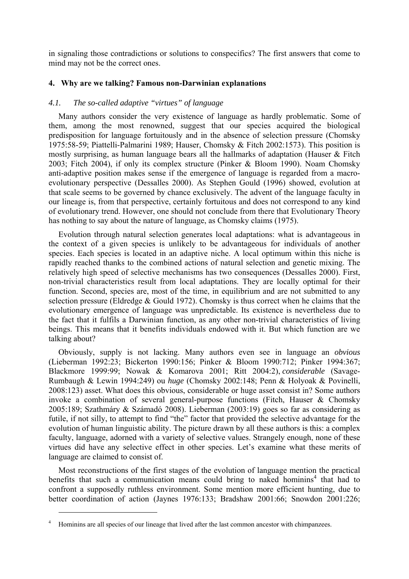in signaling those contradictions or solutions to conspecifics? The first answers that come to mind may not be the correct ones.

#### **4. Why are we talking? Famous non-Darwinian explanations**

#### *4.1. The so-called adaptive "virtues" of language*

Many authors consider the very existence of language as hardly problematic. Some of them, among the most renowned, suggest that our species acquired the biological predisposition for language fortuitously and in the absence of selection pressure (Chomsky 1975:58-59; Piattelli-Palmarini 1989; Hauser, Chomsky & Fitch 2002:1573). This position is mostly surprising, as human language bears all the hallmarks of adaptation (Hauser & Fitch 2003; Fitch 2004), if only its complex structure (Pinker & Bloom 1990). Noam Chomsky anti-adaptive position makes sense if the emergence of language is regarded from a macroevolutionary perspective (Dessalles 2000). As Stephen Gould (1996) showed, evolution at that scale seems to be governed by chance exclusively. The advent of the language faculty in our lineage is, from that perspective, certainly fortuitous and does not correspond to any kind of evolutionary trend. However, one should not conclude from there that Evolutionary Theory has nothing to say about the nature of language, as Chomsky claims (1975).

Evolution through natural selection generates local adaptations: what is advantageous in the context of a given species is unlikely to be advantageous for individuals of another species. Each species is located in an adaptive niche. A local optimum within this niche is rapidly reached thanks to the combined actions of natural selection and genetic mixing. The relatively high speed of selective mechanisms has two consequences (Dessalles 2000). First, non-trivial characteristics result from local adaptations. They are locally optimal for their function. Second, species are, most of the time, in equilibrium and are not submitted to any selection pressure (Eldredge & Gould 1972). Chomsky is thus correct when he claims that the evolutionary emergence of language was unpredictable. Its existence is nevertheless due to the fact that it fulfils a Darwinian function, as any other non-trivial characteristics of living beings. This means that it benefits individuals endowed with it. But which function are we talking about?

Obviously, supply is not lacking. Many authors even see in language an *obvious*  (Lieberman 1992:23; Bickerton 1990:156; Pinker & Bloom 1990:712; Pinker 1994:367; Blackmore 1999:99; Nowak & Komarova 2001; Ritt 2004:2), *considerable* (Savage-Rumbaugh & Lewin 1994:249) ou *huge* (Chomsky 2002:148; Penn & Holyoak & Povinelli, 2008:123) asset. What does this obvious, considerable or huge asset consist in? Some authors invoke a combination of several general-purpose functions (Fitch, Hauser & Chomsky 2005:189; Szathmáry & Számadó 2008). Lieberman (2003:19) goes so far as considering as futile, if not silly, to attempt to find "the" factor that provided the selective advantage for the evolution of human linguistic ability. The picture drawn by all these authors is this: a complex faculty, language, adorned with a variety of selective values. Strangely enough, none of these virtues did have any selective effect in other species. Let's examine what these merits of language are claimed to consist of.

Most reconstructions of the first stages of the evolution of language mention the practical benefits that such a communication means could bring to naked hominins<sup>4</sup> that had to confront a supposedly ruthless environment. Some mention more efficient hunting, due to better coordination of action (Jaynes 1976:133; Bradshaw 2001:66; Snowdon 2001:226;

1

<sup>4</sup> Hominins are all species of our lineage that lived after the last common ancestor with chimpanzees.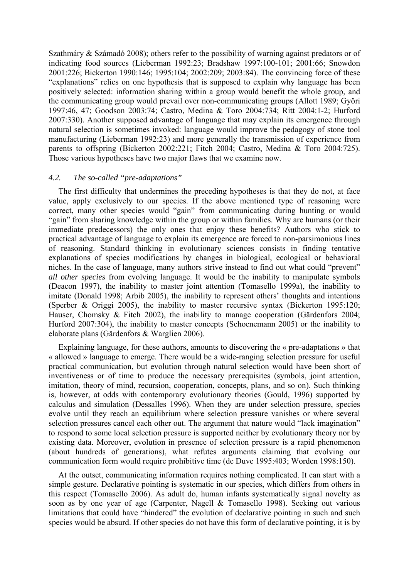Szathmáry & Számadó 2008); others refer to the possibility of warning against predators or of indicating food sources (Lieberman 1992:23; Bradshaw 1997:100-101; 2001:66; Snowdon 2001:226; Bickerton 1990:146; 1995:104; 2002:209; 2003:84). The convincing force of these "explanations" relies on one hypothesis that is supposed to explain why language has been positively selected: information sharing within a group would benefit the whole group, and the communicating group would prevail over non-communicating groups (Allott 1989; Györi 1997:46, 47; Goodson 2003:74; Castro, Medina & Toro 2004:734; Ritt 2004:1-2; Hurford 2007:330). Another supposed advantage of language that may explain its emergence through natural selection is sometimes invoked: language would improve the pedagogy of stone tool manufacturing (Lieberman 1992:23) and more generally the transmission of experience from parents to offspring (Bickerton 2002:221; Fitch 2004; Castro, Medina & Toro 2004:725). Those various hypotheses have two major flaws that we examine now.

#### *4.2. The so-called "pre-adaptations"*

The first difficulty that undermines the preceding hypotheses is that they do not, at face value, apply exclusively to our species. If the above mentioned type of reasoning were correct, many other species would "gain" from communicating during hunting or would "gain" from sharing knowledge within the group or within families. Why are humans (or their immediate predecessors) the only ones that enjoy these benefits? Authors who stick to practical advantage of language to explain its emergence are forced to non-parsimonious lines of reasoning. Standard thinking in evolutionary sciences consists in finding tentative explanations of species modifications by changes in biological, ecological or behavioral niches. In the case of language, many authors strive instead to find out what could "prevent" *all other species* from evolving language. It would be the inability to manipulate symbols (Deacon 1997), the inability to master joint attention (Tomasello 1999a), the inability to imitate (Donald 1998; Arbib 2005), the inability to represent others' thoughts and intentions (Sperber & Origgi 2005), the inability to master recursive syntax (Bickerton 1995:120; Hauser, Chomsky & Fitch 2002), the inability to manage cooperation (Gärdenfors 2004; Hurford 2007:304), the inability to master concepts (Schoenemann 2005) or the inability to elaborate plans (Gärdenfors & Warglien 2006).

Explaining language, for these authors, amounts to discovering the « pre-adaptations » that « allowed » language to emerge. There would be a wide-ranging selection pressure for useful practical communication, but evolution through natural selection would have been short of inventiveness or of time to produce the necessary prerequisites (symbols, joint attention, imitation, theory of mind, recursion, cooperation, concepts, plans, and so on). Such thinking is, however, at odds with contemporary evolutionary theories (Gould, 1996) supported by calculus and simulation (Dessalles 1996). When they are under selection pressure, species evolve until they reach an equilibrium where selection pressure vanishes or where several selection pressures cancel each other out. The argument that nature would "lack imagination" to respond to some local selection pressure is supported neither by evolutionary theory nor by existing data. Moreover, evolution in presence of selection pressure is a rapid phenomenon (about hundreds of generations), what refutes arguments claiming that evolving our communication form would require prohibitive time (de Duve 1995:403; Worden 1998:150).

At the outset, communicating information requires nothing complicated. It can start with a simple gesture. Declarative pointing is systematic in our species, which differs from others in this respect (Tomasello 2006). As adult do, human infants systematically signal novelty as soon as by one year of age (Carpenter, Nagell & Tomasello 1998). Seeking out various limitations that could have "hindered" the evolution of declarative pointing in such and such species would be absurd. If other species do not have this form of declarative pointing, it is by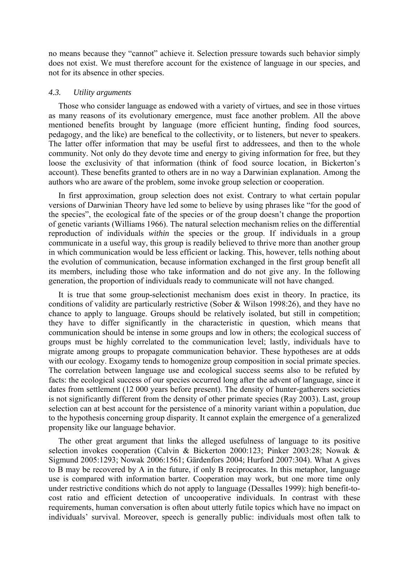no means because they "cannot" achieve it. Selection pressure towards such behavior simply does not exist. We must therefore account for the existence of language in our species, and not for its absence in other species.

#### *4.3. Utility arguments*

Those who consider language as endowed with a variety of virtues, and see in those virtues as many reasons of its evolutionary emergence, must face another problem. All the above mentioned benefits brought by language (more efficient hunting, finding food sources, pedagogy, and the like) are benefical to the collectivity, or to listeners, but never to speakers. The latter offer information that may be useful first to addressees, and then to the whole community. Not only do they devote time and energy to giving information for free, but they loose the exclusivity of that information (think of food source location, in Bickerton's account). These benefits granted to others are in no way a Darwinian explanation. Among the authors who are aware of the problem, some invoke group selection or cooperation.

In first approximation, group selection does not exist. Contrary to what certain popular versions of Darwinian Theory have led some to believe by using phrases like "for the good of the species", the ecological fate of the species or of the group doesn't change the proportion of genetic variants (Williams 1966). The natural selection mechanism relies on the differential reproduction of individuals *within* the species or the group. If individuals in a group communicate in a useful way, this group is readily believed to thrive more than another group in which communication would be less efficient or lacking. This, however, tells nothing about the evolution of communication, because information exchanged in the first group benefit all its members, including those who take information and do not give any. In the following generation, the proportion of individuals ready to communicate will not have changed.

It is true that some group-selectionist mechanism does exist in theory. In practice, its conditions of validity are particularly restrictive (Sober & Wilson 1998:26), and they have no chance to apply to language. Groups should be relatively isolated, but still in competition; they have to differ significantly in the characteristic in question, which means that communication should be intense in some groups and low in others; the ecological success of groups must be highly correlated to the communication level; lastly, individuals have to migrate among groups to propagate communication behavior. These hypotheses are at odds with our ecology. Exogamy tends to homogenize group composition in social primate species. The correlation between language use and ecological success seems also to be refuted by facts: the ecological success of our species occurred long after the advent of language, since it dates from settlement (12 000 years before present). The density of hunter-gatherers societies is not significantly different from the density of other primate species (Ray 2003). Last, group selection can at best account for the persistence of a minority variant within a population, due to the hypothesis concerning group disparity. It cannot explain the emergence of a generalized propensity like our language behavior.

The other great argument that links the alleged usefulness of language to its positive selection invokes cooperation (Calvin & Bickerton 2000:123; Pinker 2003:28; Nowak & Sigmund 2005:1293; Nowak 2006:1561; Gärdenfors 2004; Hurford 2007:304). What A gives to B may be recovered by A in the future, if only B reciprocates. In this metaphor, language use is compared with information barter. Cooperation may work, but one more time only under restrictive conditions which do not apply to language (Dessalles 1999): high benefit-tocost ratio and efficient detection of uncooperative individuals. In contrast with these requirements, human conversation is often about utterly futile topics which have no impact on individuals' survival. Moreover, speech is generally public: individuals most often talk to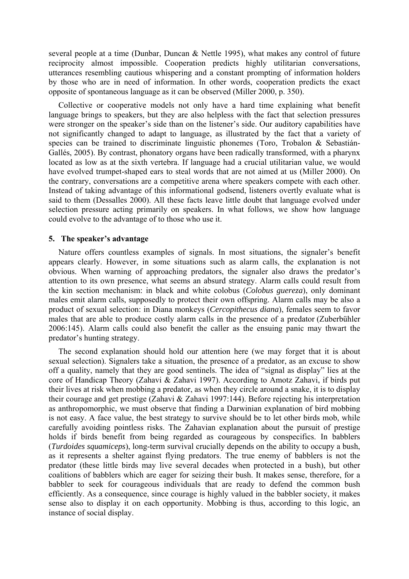several people at a time (Dunbar, Duncan & Nettle 1995), what makes any control of future reciprocity almost impossible. Cooperation predicts highly utilitarian conversations, utterances resembling cautious whispering and a constant prompting of information holders by those who are in need of information. In other words, cooperation predicts the exact opposite of spontaneous language as it can be observed (Miller 2000, p. 350).

Collective or cooperative models not only have a hard time explaining what benefit language brings to speakers, but they are also helpless with the fact that selection pressures were stronger on the speaker's side than on the listener's side. Our auditory capabilities have not significantly changed to adapt to language, as illustrated by the fact that a variety of species can be trained to discriminate linguistic phonemes (Toro, Trobalon & Sebastián-Gallés, 2005). By contrast, phonatory organs have been radically transformed, with a pharynx located as low as at the sixth vertebra. If language had a crucial utilitarian value, we would have evolved trumpet-shaped ears to steal words that are not aimed at us (Miller 2000). On the contrary, conversations are a competitive arena where speakers compete with each other. Instead of taking advantage of this informational godsend, listeners overtly evaluate what is said to them (Dessalles 2000). All these facts leave little doubt that language evolved under selection pressure acting primarily on speakers. In what follows, we show how language could evolve to the advantage of to those who use it.

#### **5. The speaker's advantage**

Nature offers countless examples of signals. In most situations, the signaler's benefit appears clearly. However, in some situations such as alarm calls, the explanation is not obvious. When warning of approaching predators, the signaler also draws the predator's attention to its own presence, what seems an absurd strategy. Alarm calls could result from the kin section mechanism: in black and white colobus (*Colobus guereza*), only dominant males emit alarm calls, supposedly to protect their own offspring. Alarm calls may be also a product of sexual selection: in Diana monkeys (*Cercopithecus diana*), females seem to favor males that are able to produce costly alarm calls in the presence of a predator (Zuberbühler 2006:145). Alarm calls could also benefit the caller as the ensuing panic may thwart the predator's hunting strategy.

The second explanation should hold our attention here (we may forget that it is about sexual selection). Signalers take a situation, the presence of a predator, as an excuse to show off a quality, namely that they are good sentinels. The idea of "signal as display" lies at the core of Handicap Theory (Zahavi & Zahavi 1997). According to Amotz Zahavi, if birds put their lives at risk when mobbing a predator, as when they circle around a snake, it is to display their courage and get prestige (Zahavi & Zahavi 1997:144). Before rejecting his interpretation as anthropomorphic, we must observe that finding a Darwinian explanation of bird mobbing is not easy. A face value, the best strategy to survive should be to let other birds mob, while carefully avoiding pointless risks. The Zahavian explanation about the pursuit of prestige holds if birds benefit from being regarded as courageous by conspecifics. In babblers (*Turdoides squamiceps*), long-term survival crucially depends on the ability to occupy a bush, as it represents a shelter against flying predators. The true enemy of babblers is not the predator (these little birds may live several decades when protected in a bush), but other coalitions of babblers which are eager for seizing their bush. It makes sense, therefore, for a babbler to seek for courageous individuals that are ready to defend the common bush efficiently. As a consequence, since courage is highly valued in the babbler society, it makes sense also to display it on each opportunity. Mobbing is thus, according to this logic, an instance of social display.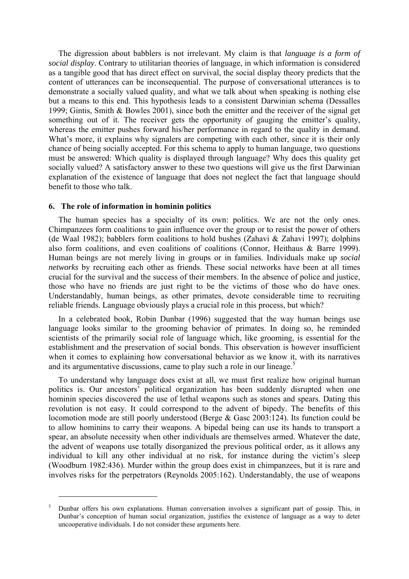The digression about babblers is not irrelevant. My claim is that *language is a form of social display*. Contrary to utilitarian theories of language, in which information is considered as a tangible good that has direct effect on survival, the social display theory predicts that the content of utterances can be inconsequential. The purpose of conversational utterances is to demonstrate a socially valued quality, and what we talk about when speaking is nothing else but a means to this end. This hypothesis leads to a consistent Darwinian schema (Dessalles 1999; Gintis, Smith & Bowles 2001), since both the emitter and the receiver of the signal get something out of it. The receiver gets the opportunity of gauging the emitter's quality, whereas the emitter pushes forward his/her performance in regard to the quality in demand. What's more, it explains why signalers are competing with each other, since it is their only chance of being socially accepted. For this schema to apply to human language, two questions must be answered: Which quality is displayed through language? Why does this quality get socially valued? A satisfactory answer to these two questions will give us the first Darwinian explanation of the existence of language that does not neglect the fact that language should benefit to those who talk.

#### **6. The role of information in hominin politics**

1

The human species has a specialty of its own: politics. We are not the only ones. Chimpanzees form coalitions to gain influence over the group or to resist the power of others (de Waal 1982); babblers form coalitions to hold bushes (Zahavi  $\&$  Zahavi 1997); dolphins also form coalitions, and even coalitions of coalitions (Connor, Heithaus & Barre 1999). Human beings are not merely living in groups or in families. Individuals make up *social networks* by recruiting each other as friends. These social networks have been at all times crucial for the survival and the success of their members. In the absence of police and justice, those who have no friends are just right to be the victims of those who do have ones. Understandably, human beings, as other primates, devote considerable time to recruiting reliable friends. Language obviously plays a crucial role in this process, but which?

In a celebrated book, Robin Dunbar (1996) suggested that the way human beings use language looks similar to the grooming behavior of primates. In doing so, he reminded scientists of the primarily social role of language which, like grooming, is essential for the establishment and the preservation of social bonds. This observation is however insufficient when it comes to explaining how conversational behavior as we know it, with its narratives and its argumentative discussions, came to play such a role in our lineage.<sup>5</sup>

To understand why language does exist at all, we must first realize how original human politics is. Our ancestors' political organization has been suddenly disrupted when one hominin species discovered the use of lethal weapons such as stones and spears. Dating this revolution is not easy. It could correspond to the advent of bipedy. The benefits of this locomotion mode are still poorly understood (Berge & Gasc 2003:124). Its function could be to allow hominins to carry their weapons. A bipedal being can use its hands to transport a spear, an absolute necessity when other individuals are themselves armed. Whatever the date, the advent of weapons use totally disorganized the previous political order, as it allows any individual to kill any other individual at no risk, for instance during the victim's sleep (Woodburn 1982:436). Murder within the group does exist in chimpanzees, but it is rare and involves risks for the perpetrators (Reynolds 2005:162). Understandably, the use of weapons

<sup>5</sup> Dunbar offers his own explanations. Human conversation involves a significant part of gossip. This, in Dunbar's conception of human social organization, justifies the existence of language as a way to deter uncooperative individuals. I do not consider these arguments here.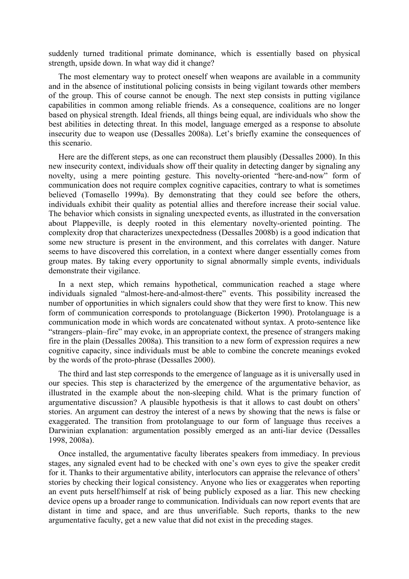suddenly turned traditional primate dominance, which is essentially based on physical strength, upside down. In what way did it change?

The most elementary way to protect oneself when weapons are available in a community and in the absence of institutional policing consists in being vigilant towards other members of the group. This of course cannot be enough. The next step consists in putting vigilance capabilities in common among reliable friends. As a consequence, coalitions are no longer based on physical strength. Ideal friends, all things being equal, are individuals who show the best abilities in detecting threat. In this model, language emerged as a response to absolute insecurity due to weapon use (Dessalles 2008a). Let's briefly examine the consequences of this scenario.

Here are the different steps, as one can reconstruct them plausibly (Dessalles 2000). In this new insecurity context, individuals show off their quality in detecting danger by signaling any novelty, using a mere pointing gesture. This novelty-oriented "here-and-now" form of communication does not require complex cognitive capacities, contrary to what is sometimes believed (Tomasello 1999a). By demonstrating that they could see before the others, individuals exhibit their quality as potential allies and therefore increase their social value. The behavior which consists in signaling unexpected events, as illustrated in the conversation about Plappeville, is deeply rooted in this elementary novelty-oriented pointing. The complexity drop that characterizes unexpectedness (Dessalles 2008b) is a good indication that some new structure is present in the environment, and this correlates with danger. Nature seems to have discovered this correlation, in a context where danger essentially comes from group mates. By taking every opportunity to signal abnormally simple events, individuals demonstrate their vigilance.

In a next step, which remains hypothetical, communication reached a stage where individuals signaled "almost-here-and-almost-there" events. This possibility increased the number of opportunities in which signalers could show that they were first to know. This new form of communication corresponds to protolanguage (Bickerton 1990). Protolanguage is a communication mode in which words are concatenated without syntax. A proto-sentence like "strangers–plain–fire" may evoke, in an appropriate context, the presence of strangers making fire in the plain (Dessalles 2008a). This transition to a new form of expression requires a new cognitive capacity, since individuals must be able to combine the concrete meanings evoked by the words of the proto-phrase (Dessalles 2000).

The third and last step corresponds to the emergence of language as it is universally used in our species. This step is characterized by the emergence of the argumentative behavior, as illustrated in the example about the non-sleeping child. What is the primary function of argumentative discussion? A plausible hypothesis is that it allows to cast doubt on others' stories. An argument can destroy the interest of a news by showing that the news is false or exaggerated. The transition from protolanguage to our form of language thus receives a Darwinian explanation: argumentation possibly emerged as an anti-liar device (Dessalles 1998, 2008a).

Once installed, the argumentative faculty liberates speakers from immediacy. In previous stages, any signaled event had to be checked with one's own eyes to give the speaker credit for it. Thanks to their argumentative ability, interlocutors can appraise the relevance of others' stories by checking their logical consistency. Anyone who lies or exaggerates when reporting an event puts herself/himself at risk of being publicly exposed as a liar. This new checking device opens up a broader range to communication. Individuals can now report events that are distant in time and space, and are thus unverifiable. Such reports, thanks to the new argumentative faculty, get a new value that did not exist in the preceding stages.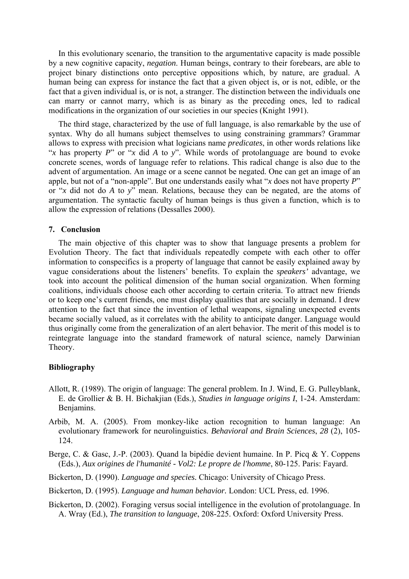In this evolutionary scenario, the transition to the argumentative capacity is made possible by a new cognitive capacity, *negation*. Human beings, contrary to their forebears, are able to project binary distinctions onto perceptive oppositions which, by nature, are gradual. A human being can express for instance the fact that a given object is, or is not, edible, or the fact that a given individual is, or is not, a stranger. The distinction between the individuals one can marry or cannot marry, which is as binary as the preceding ones, led to radical modifications in the organization of our societies in our species (Knight 1991).

The third stage, characterized by the use of full language, is also remarkable by the use of syntax. Why do all humans subject themselves to using constraining grammars? Grammar allows to express with precision what logicians name *predicates*, in other words relations like "*x* has property *P*" or "*x* did *A* to *y*". While words of protolanguage are bound to evoke concrete scenes, words of language refer to relations. This radical change is also due to the advent of argumentation. An image or a scene cannot be negated. One can get an image of an apple, but not of a "non-apple". But one understands easily what "*x* does not have property *P*" or "*x* did not do *A* to *y*" mean. Relations, because they can be negated, are the atoms of argumentation. The syntactic faculty of human beings is thus given a function, which is to allow the expression of relations (Dessalles 2000).

#### **7. Conclusion**

The main objective of this chapter was to show that language presents a problem for Evolution Theory. The fact that individuals repeatedly compete with each other to offer information to conspecifics is a property of language that cannot be easily explained away by vague considerations about the listeners' benefits. To explain the *speakers'* advantage, we took into account the political dimension of the human social organization. When forming coalitions, individuals choose each other according to certain criteria. To attract new friends or to keep one's current friends, one must display qualities that are socially in demand. I drew attention to the fact that since the invention of lethal weapons, signaling unexpected events became socially valued, as it correlates with the ability to anticipate danger. Language would thus originally come from the generalization of an alert behavior. The merit of this model is to reintegrate language into the standard framework of natural science, namely Darwinian Theory.

#### **Bibliography**

- Allott, R. (1989). The origin of language: The general problem. In J. Wind, E. G. Pulleyblank, E. de Grollier & B. H. Bichakjian (Eds.), *Studies in language origins I*, 1-24. Amsterdam: Benjamins.
- Arbib, M. A. (2005). From monkey-like action recognition to human language: An evolutionary framework for neurolinguistics. *Behavioral and Brain Sciences*, *28* (2), 105- 124.
- Berge, C. & Gasc, J.-P. (2003). Quand la bipédie devient humaine. In P. Picq & Y. Coppens (Eds.), *Aux origines de l'humanité - Vol2: Le propre de l'homme*, 80-125. Paris: Fayard.
- Bickerton, D. (1990). *Language and species.* Chicago: University of Chicago Press.
- Bickerton, D. (1995). *Language and human behavior.* London: UCL Press, ed. 1996.
- Bickerton, D. (2002). Foraging versus social intelligence in the evolution of protolanguage. In A. Wray (Ed.), *The transition to language*, 208-225. Oxford: Oxford University Press.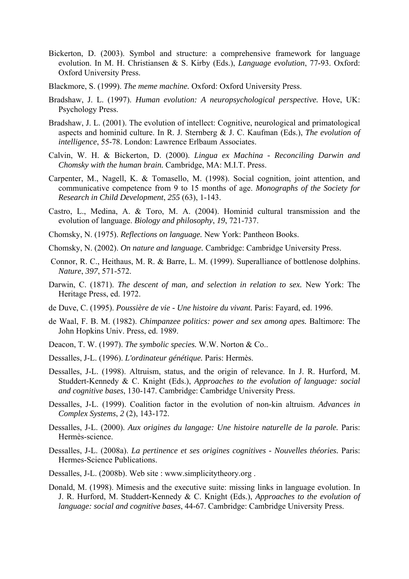- Bickerton, D. (2003). Symbol and structure: a comprehensive framework for language evolution. In M. H. Christiansen & S. Kirby (Eds.), *Language evolution*, 77-93. Oxford: Oxford University Press.
- Blackmore, S. (1999). *The meme machine.* Oxford: Oxford University Press.
- Bradshaw, J. L. (1997). *Human evolution: A neuropsychological perspective.* Hove, UK: Psychology Press.
- Bradshaw, J. L. (2001). The evolution of intellect: Cognitive, neurological and primatological aspects and hominid culture. In R. J. Sternberg & J. C. Kaufman (Eds.), *The evolution of intelligence*, 55-78. London: Lawrence Erlbaum Associates.
- Calvin, W. H. & Bickerton, D. (2000). *Lingua ex Machina Reconciling Darwin and Chomsky with the human brain.* Cambridge, MA: M.I.T. Press.
- Carpenter, M., Nagell, K. & Tomasello, M. (1998). Social cognition, joint attention, and communicative competence from 9 to 15 months of age. *Monographs of the Society for Research in Child Development*, *255* (63), 1-143.
- Castro, L., Medina, A. & Toro, M. A. (2004). Hominid cultural transmission and the evolution of language. *Biology and philosophy*, *19*, 721-737.
- Chomsky, N. (1975). *Reflections on language.* New York: Pantheon Books.
- Chomsky, N. (2002). *On nature and language.* Cambridge: Cambridge University Press.
- Connor, R. C., Heithaus, M. R. & Barre, L. M. (1999). Superalliance of bottlenose dolphins. *Nature*, *397*, 571-572.
- Darwin, C. (1871). *The descent of man, and selection in relation to sex.* New York: The Heritage Press, ed. 1972.
- de Duve, C. (1995). *Poussière de vie Une histoire du vivant.* Paris: Fayard, ed. 1996.
- de Waal, F. B. M. (1982). *Chimpanzee politics: power and sex among apes.* Baltimore: The John Hopkins Univ. Press, ed. 1989.
- Deacon, T. W. (1997). *The symbolic species.* W.W. Norton & Co..
- Dessalles, J-L. (1996). *L'ordinateur génétique.* Paris: Hermès.
- Dessalles, J-L. (1998). Altruism, status, and the origin of relevance. In J. R. Hurford, M. Studdert-Kennedy & C. Knight (Eds.), *Approaches to the evolution of language: social and cognitive bases*, 130-147. Cambridge: Cambridge University Press.
- Dessalles, J-L. (1999). Coalition factor in the evolution of non-kin altruism. *Advances in Complex Systems*, *2* (2), 143-172.
- Dessalles, J-L. (2000). *Aux origines du langage: Une histoire naturelle de la parole.* Paris: Hermès-science.
- Dessalles, J-L. (2008a). *La pertinence et ses origines cognitives Nouvelles théories.* Paris: Hermes-Science Publications.
- Dessalles, J-L. (2008b). Web site : www.simplicitytheory.org .
- Donald, M. (1998). Mimesis and the executive suite: missing links in language evolution. In J. R. Hurford, M. Studdert-Kennedy & C. Knight (Eds.), *Approaches to the evolution of language: social and cognitive bases*, 44-67. Cambridge: Cambridge University Press.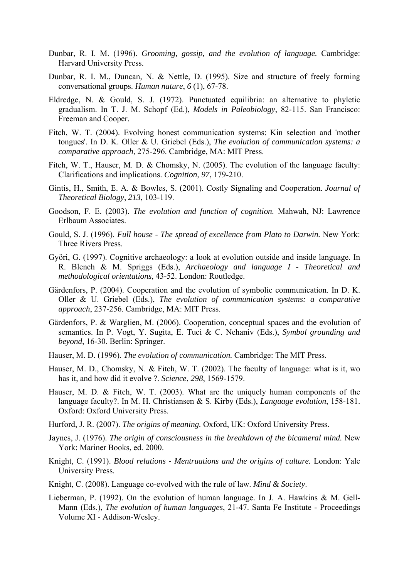- Dunbar, R. I. M. (1996). *Grooming, gossip, and the evolution of language.* Cambridge: Harvard University Press.
- Dunbar, R. I. M., Duncan, N. & Nettle, D. (1995). Size and structure of freely forming conversational groups. *Human nature*, *6* (1), 67-78.
- Eldredge, N. & Gould, S. J. (1972). Punctuated equilibria: an alternative to phyletic gradualism. In T. J. M. Schopf (Ed.), *Models in Paleobiology*, 82-115. San Francisco: Freeman and Cooper.
- Fitch, W. T. (2004). Evolving honest communication systems: Kin selection and 'mother tongues'. In D. K. Oller & U. Griebel (Eds.), *The evolution of communication systems: a comparative approach*, 275-296. Cambridge, MA: MIT Press.
- Fitch, W. T., Hauser, M. D. & Chomsky, N. (2005). The evolution of the language faculty: Clarifications and implications. *Cognition*, *97*, 179-210.
- Gintis, H., Smith, E. A. & Bowles, S. (2001). Costly Signaling and Cooperation. *Journal of Theoretical Biology*, *213*, 103-119.
- Goodson, F. E. (2003). *The evolution and function of cognition.* Mahwah, NJ: Lawrence Erlbaum Associates.
- Gould, S. J. (1996). *Full house The spread of excellence from Plato to Darwin.* New York: Three Rivers Press.
- Györi, G. (1997). Cognitive archaeology: a look at evolution outside and inside language. In R. Blench & M. Spriggs (Eds.), *Archaeology and language I - Theoretical and methodological orientations*, 43-52. London: Routledge.
- Gärdenfors, P. (2004). Cooperation and the evolution of symbolic communication. In D. K. Oller & U. Griebel (Eds.), *The evolution of communication systems: a comparative approach*, 237-256. Cambridge, MA: MIT Press.
- Gärdenfors, P. & Warglien, M. (2006). Cooperation, conceptual spaces and the evolution of semantics. In P. Vogt, Y. Sugita, E. Tuci & C. Nehaniv (Eds.), *Symbol grounding and beyond*, 16-30. Berlin: Springer.
- Hauser, M. D. (1996). *The evolution of communication.* Cambridge: The MIT Press.
- Hauser, M. D., Chomsky, N. & Fitch, W. T. (2002). The faculty of language: what is it, wo has it, and how did it evolve ?. *Science*, *298*, 1569-1579.
- Hauser, M. D. & Fitch, W. T. (2003). What are the uniquely human components of the language faculty?. In M. H. Christiansen & S. Kirby (Eds.), *Language evolution*, 158-181. Oxford: Oxford University Press.
- Hurford, J. R. (2007). *The origins of meaning.* Oxford, UK: Oxford University Press.
- Jaynes, J. (1976). *The origin of consciousness in the breakdown of the bicameral mind.* New York: Mariner Books, ed. 2000.
- Knight, C. (1991). *Blood relations Mentruations and the origins of culture.* London: Yale University Press.
- Knight, C. (2008). Language co-evolved with the rule of law. *Mind & Society*.
- Lieberman, P. (1992). On the evolution of human language. In J. A. Hawkins & M. Gell-Mann (Eds.), *The evolution of human languages*, 21-47. Santa Fe Institute - Proceedings Volume XI - Addison-Wesley.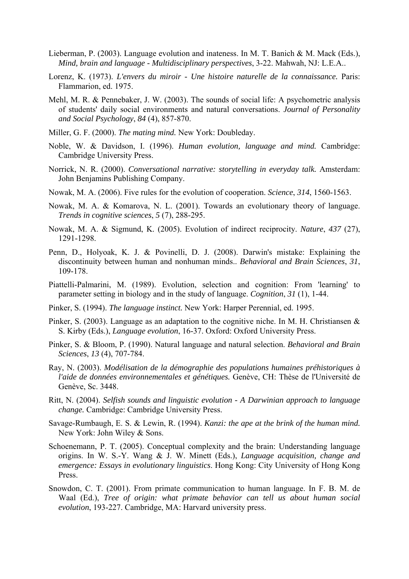- Lieberman, P. (2003). Language evolution and inateness. In M. T. Banich & M. Mack (Eds.), *Mind, brain and language - Multidisciplinary perspectives*, 3-22. Mahwah, NJ: L.E.A..
- Lorenz, K. (1973). *L'envers du miroir Une histoire naturelle de la connaissance.* Paris: Flammarion, ed. 1975.
- Mehl, M. R. & Pennebaker, J. W. (2003). The sounds of social life: A psychometric analysis of students' daily social environments and natural conversations. *Journal of Personality and Social Psychology*, *84* (4), 857-870.
- Miller, G. F. (2000). *The mating mind.* New York: Doubleday.
- Noble, W. & Davidson, I. (1996). *Human evolution, language and mind.* Cambridge: Cambridge University Press.
- Norrick, N. R. (2000). *Conversational narrative: storytelling in everyday talk.* Amsterdam: John Benjamins Publishing Company.
- Nowak, M. A. (2006). Five rules for the evolution of cooperation. *Science*, *314*, 1560-1563.
- Nowak, M. A. & Komarova, N. L. (2001). Towards an evolutionary theory of language. *Trends in cognitive sciences*, *5* (7), 288-295.
- Nowak, M. A. & Sigmund, K. (2005). Evolution of indirect reciprocity. *Nature*, *437* (27), 1291-1298.
- Penn, D., Holyoak, K. J. & Povinelli, D. J. (2008). Darwin's mistake: Explaining the discontinuity between human and nonhuman minds.. *Behavioral and Brain Sciences*, *31*, 109-178.
- Piattelli-Palmarini, M. (1989). Evolution, selection and cognition: From 'learning' to parameter setting in biology and in the study of language. *Cognition*, *31* (1), 1-44.
- Pinker, S. (1994). *The language instinct.* New York: Harper Perennial, ed. 1995.
- Pinker, S. (2003). Language as an adaptation to the cognitive niche. In M. H. Christiansen & S. Kirby (Eds.), *Language evolution*, 16-37. Oxford: Oxford University Press.
- Pinker, S. & Bloom, P. (1990). Natural language and natural selection. *Behavioral and Brain Sciences*, *13* (4), 707-784.
- Ray, N. (2003). *Modélisation de la démographie des populations humaines préhistoriques à l'aide de données environnementales et génétiques.* Genève, CH: Thèse de l'Université de Genève, Sc. 3448.
- Ritt, N. (2004). *Selfish sounds and linguistic evolution A Darwinian approach to language change.* Cambridge: Cambridge University Press.
- Savage-Rumbaugh, E. S. & Lewin, R. (1994). *Kanzi: the ape at the brink of the human mind.* New York: John Wiley & Sons.
- Schoenemann, P. T. (2005). Conceptual complexity and the brain: Understanding language origins. In W. S.-Y. Wang & J. W. Minett (Eds.), *Language acquisition, change and emergence: Essays in evolutionary linguistics*. Hong Kong: City University of Hong Kong Press.
- Snowdon, C. T. (2001). From primate communication to human language. In F. B. M. de Waal (Ed.), *Tree of origin: what primate behavior can tell us about human social evolution*, 193-227. Cambridge, MA: Harvard university press.